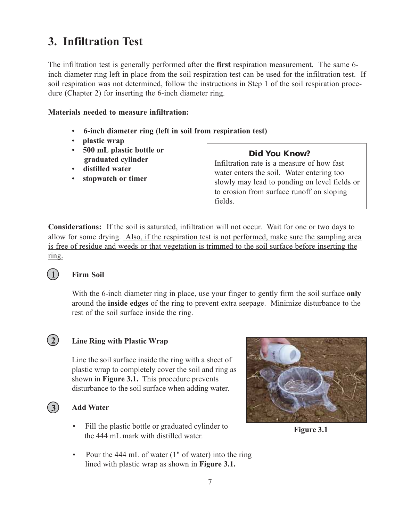## **3. Infiltration Test**

The infiltration test is generally performed after the **first** respiration measurement. The same 6 inch diameter ring left in place from the soil respiration test can be used for the infiltration test. If soil respiration was not determined, follow the instructions in Step 1 of the soil respiration procedure (Chapter 2) for inserting the 6-inch diameter ring.

#### **Materials needed to measure infiltration:**

- -**6-inch diameter ring (left in soil from respiration test)**
- -**plastic wrap**
- -**500 mL plastic bottle or graduated cylinder**
- -**distilled water**
- **stopwatch or timer**

## **Did You Know?**

Infiltration rate is a measure of how fast water enters the soil. Water entering too slowly may lead to ponding on level fields or to erosion from surface runoff on sloping fields.

**Considerations:** If the soil is saturated, infiltration will not occur. Wait for one or two days to allow for some drying. Also, if the respiration test is not performed, make sure the sampling area is free of residue and weeds or that vegetation is trimmed to the soil surface before inserting the ring.

## **Firm Soil**

With the 6-inch diameter ring in place, use your finger to gently firm the soil surface **only** around the **inside edges** of the ring to prevent extra seepage. Minimize disturbance to the rest of the soil surface inside the ring.



**1**

## **Line Ring with Plastic Wrap**

Line the soil surface inside the ring with a sheet of plastic wrap to completely cover the soil and ring as shown in **Figure 3.1.** This procedure prevents disturbance to the soil surface when adding water.

## **3**

## **Add Water**

- Fill the plastic bottle or graduated cylinder to the 444 mL mark with distilled water.
- $\bullet$ Pour the 444 mL of water (1" of water) into the ring lined with plastic wrap as shown in **Figure 3.1.**



**Figure 3.1**